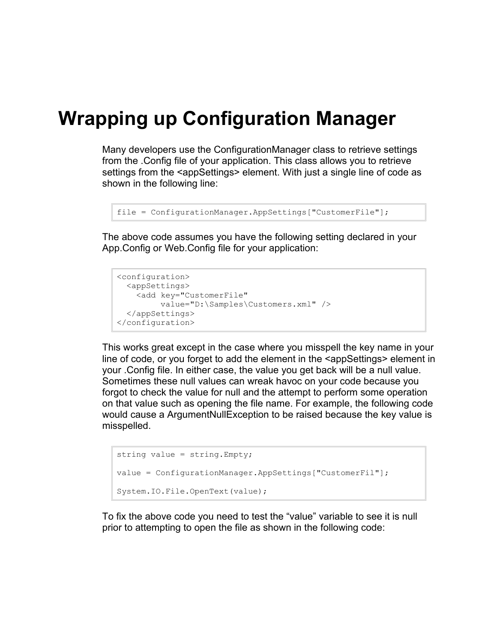## **Wrapping up Configuration Manager**

Many developers use the ConfigurationManager class to retrieve settings from the .Config file of your application. This class allows you to retrieve settings from the <appSettings> element. With just a single line of code as shown in the following line:

```
file = ConfigurationManager.AppSettings["CustomerFile"];
```
The above code assumes you have the following setting declared in your App.Config or Web.Config file for your application:

```
<configuration>
  <appSettings>
    <add key="CustomerFile" 
          value="D:\Samples\Customers.xml" />
  </appSettings>
</configuration>
```
This works great except in the case where you misspell the key name in your line of code, or you forget to add the element in the <appSettings> element in your .Config file. In either case, the value you get back will be a null value. Sometimes these null values can wreak havoc on your code because you forgot to check the value for null and the attempt to perform some operation on that value such as opening the file name. For example, the following code would cause a ArgumentNullException to be raised because the key value is misspelled.

```
string value = string.Empty;
value = ConfigurationManager.AppSettings["CustomerFil"];
System.IO.File.OpenText(value);
```
To fix the above code you need to test the "value" variable to see it is null prior to attempting to open the file as shown in the following code: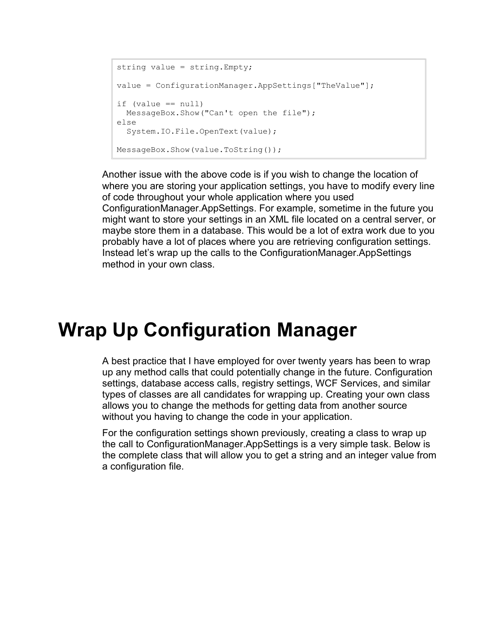```
string value = string.Empty;
value = ConfigurationManager.AppSettings["TheValue"];
if (value == null)MessageBox.Show("Can't open the file");
else
  System.IO.File.OpenText(value);
MessageBox.Show(value.ToString());
```
Another issue with the above code is if you wish to change the location of where you are storing your application settings, you have to modify every line of code throughout your whole application where you used ConfigurationManager.AppSettings. For example, sometime in the future you might want to store your settings in an XML file located on a central server, or maybe store them in a database. This would be a lot of extra work due to you probably have a lot of places where you are retrieving configuration settings. Instead let's wrap up the calls to the ConfigurationManager.AppSettings method in your own class.

## **Wrap Up Configuration Manager**

A best practice that I have employed for over twenty years has been to wrap up any method calls that could potentially change in the future. Configuration settings, database access calls, registry settings, WCF Services, and similar types of classes are all candidates for wrapping up. Creating your own class allows you to change the methods for getting data from another source without you having to change the code in your application.

For the configuration settings shown previously, creating a class to wrap up the call to ConfigurationManager.AppSettings is a very simple task. Below is the complete class that will allow you to get a string and an integer value from a configuration file.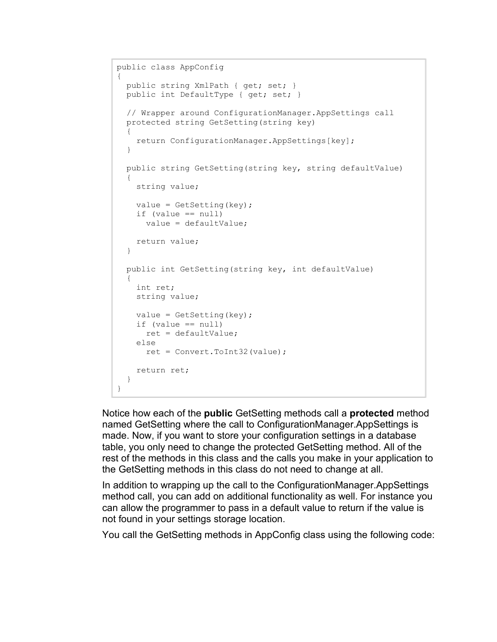```
public class AppConfig
{
 public string XmlPath { get; set; }
  public int DefaultType { get; set; }
  // Wrapper around ConfigurationManager.AppSettings call
  protected string GetSetting(string key)
  {
    return ConfigurationManager.AppSettings[key];
   }
  public string GetSetting(string key, string defaultValue)
   {
    string value;
   value = Getsetting(key);
   if (value == null) value = defaultValue;
    return value;
  }
  public int GetSetting(string key, int defaultValue)
  {
    int ret;
    string value;
   value = Getsetting(key);
    if (value == null)
      ret = defaultValue;
    else
      ret = Convert.ToInt32(value);
    return ret;
  }
}
```
Notice how each of the **public** GetSetting methods call a **protected** method named GetSetting where the call to ConfigurationManager.AppSettings is made. Now, if you want to store your configuration settings in a database table, you only need to change the protected GetSetting method. All of the rest of the methods in this class and the calls you make in your application to the GetSetting methods in this class do not need to change at all.

In addition to wrapping up the call to the ConfigurationManager.AppSettings method call, you can add on additional functionality as well. For instance you can allow the programmer to pass in a default value to return if the value is not found in your settings storage location.

You call the GetSetting methods in AppConfig class using the following code: